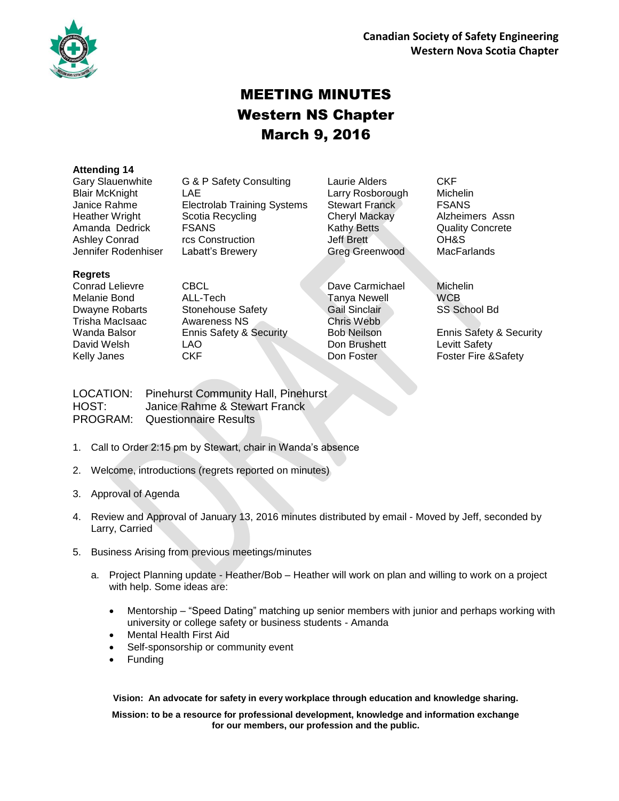

# MEETING MINUTES Western NS Chapter March 9, 2016

#### **Attending 14**

Gary Slauenwhite G & P Safety Consulting Laurie Alders CKF Blair McKnight LAE Larry Rosborough Michelin Janice Rahme **Electrolab Training Systems** Stewart Franck FSANS Heather Wright Scotia Recycling Cheryl Mackay Alzheimers Assn Amanda Dedrick FSANS Kathy Betts Quality Concrete Ashley Conrad rcs Construction Jeff Brett OH&S Jennifer Rodenhiser Labatt's Brewery Greg Greenwood MacFarlands

**Regrets**

Conrad Lelievre CBCL Dave Carmichael Michelin Melanie Bond ALL-Tech Tanya Newell WCB Dwayne Robarts Stonehouse Safety Gail Sinclair SS School Bd Trisha MacIsaac Awareness NS Chris Webb Wanda Balsor Ennis Safety & Security Bob Neilson Ennis Safety & Security David Welsh LAO LAO Don Brushett Levitt Safety Kelly Janes CKF CKF Don Foster Foster Fire &Safety

LOCATION: Pinehurst Community Hall, Pinehurst HOST: Janice Rahme & Stewart Franck PROGRAM: Questionnaire Results

- 1. Call to Order 2:15 pm by Stewart, chair in Wanda's absence
- 2. Welcome, introductions (regrets reported on minutes)
- 3. Approval of Agenda
- 4. Review and Approval of January 13, 2016 minutes distributed by email Moved by Jeff, seconded by Larry, Carried
- 5. Business Arising from previous meetings/minutes
	- a. Project Planning update Heather/Bob Heather will work on plan and willing to work on a project with help. Some ideas are:
		- Mentorship "Speed Dating" matching up senior members with junior and perhaps working with university or college safety or business students - Amanda
		- Mental Health First Aid
		- Self-sponsorship or community event
		- Funding

**Vision: An advocate for safety in every workplace through education and knowledge sharing.**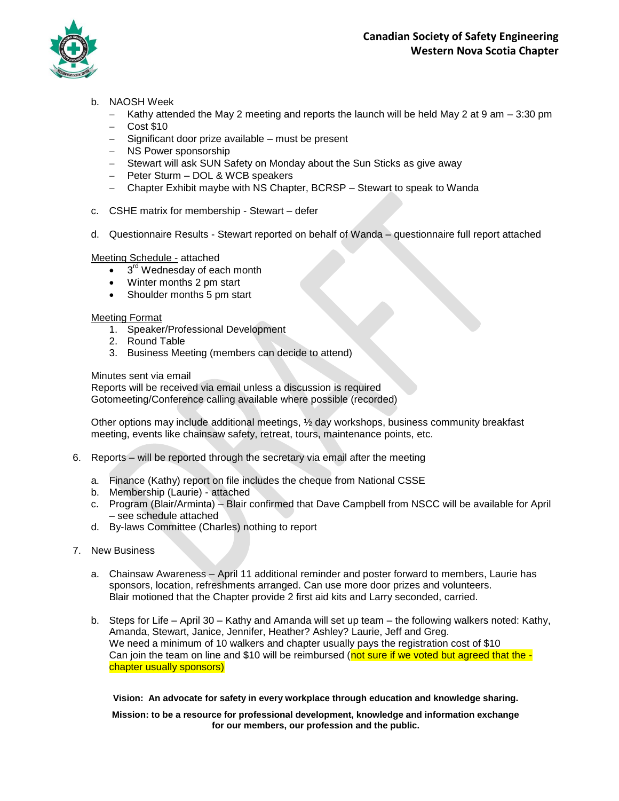

- b. NAOSH Week
	- $-$  Kathy attended the May 2 meeting and reports the launch will be held May 2 at 9 am  $-$  3:30 pm
	- $-$  Cost \$10
	- Significant door prize available must be present
	- NS Power sponsorship
	- Stewart will ask SUN Safety on Monday about the Sun Sticks as give away
	- Peter Sturm DOL & WCB speakers
	- Chapter Exhibit maybe with NS Chapter, BCRSP Stewart to speak to Wanda
- c. CSHE matrix for membership Stewart defer
- d. Questionnaire Results Stewart reported on behalf of Wanda questionnaire full report attached

#### Meeting Schedule - attached

- $\bullet$   $3<sup>rd</sup>$  Wednesday of each month
- Winter months 2 pm start
- Shoulder months 5 pm start

#### Meeting Format

- 1. Speaker/Professional Development
	- 2. Round Table
	- 3. Business Meeting (members can decide to attend)

#### Minutes sent via email

Reports will be received via email unless a discussion is required Gotomeeting/Conference calling available where possible (recorded)

Other options may include additional meetings, ½ day workshops, business community breakfast meeting, events like chainsaw safety, retreat, tours, maintenance points, etc.

- 6. Reports will be reported through the secretary via email after the meeting
	- a. Finance (Kathy) report on file includes the cheque from National CSSE
	- b. Membership (Laurie) attached
	- c. Program (Blair/Arminta) Blair confirmed that Dave Campbell from NSCC will be available for April – see schedule attached
	- d. By-laws Committee (Charles) nothing to report
- 7. New Business
	- a. Chainsaw Awareness April 11 additional reminder and poster forward to members, Laurie has sponsors, location, refreshments arranged. Can use more door prizes and volunteers. Blair motioned that the Chapter provide 2 first aid kits and Larry seconded, carried.
	- b. Steps for Life April 30 Kathy and Amanda will set up team the following walkers noted: Kathy, Amanda, Stewart, Janice, Jennifer, Heather? Ashley? Laurie, Jeff and Greg. We need a minimum of 10 walkers and chapter usually pays the registration cost of \$10 Can join the team on line and \$10 will be reimbursed (not sure if we voted but agreed that the chapter usually sponsors)

**Vision: An advocate for safety in every workplace through education and knowledge sharing.**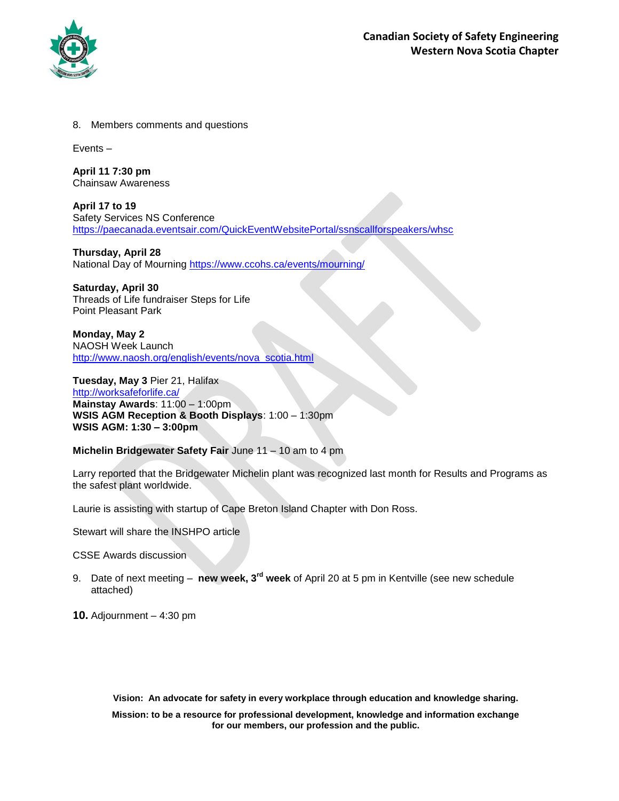

8. Members comments and questions

Events –

**April 11 7:30 pm** Chainsaw Awareness

**April 17 to 19**  Safety Services NS Conference <https://paecanada.eventsair.com/QuickEventWebsitePortal/ssnscallforspeakers/whsc>

**Thursday, April 28**  National Day of Mourning<https://www.ccohs.ca/events/mourning/>

**Saturday, April 30**  Threads of Life fundraiser Steps for Life Point Pleasant Park

**Monday, May 2** NAOSH Week Launch [http://www.naosh.org/english/events/nova\\_scotia.html](http://www.naosh.org/english/events/nova_scotia.html)

**Tuesday, May 3** Pier 21, Halifax <http://worksafeforlife.ca/> **Mainstay Awards**: 11:00 – 1:00pm **WSIS AGM Reception & Booth Displays**: 1:00 – 1:30pm **WSIS AGM: 1:30 – 3:00pm**

**Michelin Bridgewater Safety Fair** June 11 – 10 am to 4 pm

Larry reported that the Bridgewater Michelin plant was recognized last month for Results and Programs as the safest plant worldwide.

Laurie is assisting with startup of Cape Breton Island Chapter with Don Ross.

Stewart will share the INSHPO article

CSSE Awards discussion

9. Date of next meeting – **new week, 3rd week** of April 20 at 5 pm in Kentville (see new schedule attached)

**10.** Adjournment – 4:30 pm

**Vision: An advocate for safety in every workplace through education and knowledge sharing.**